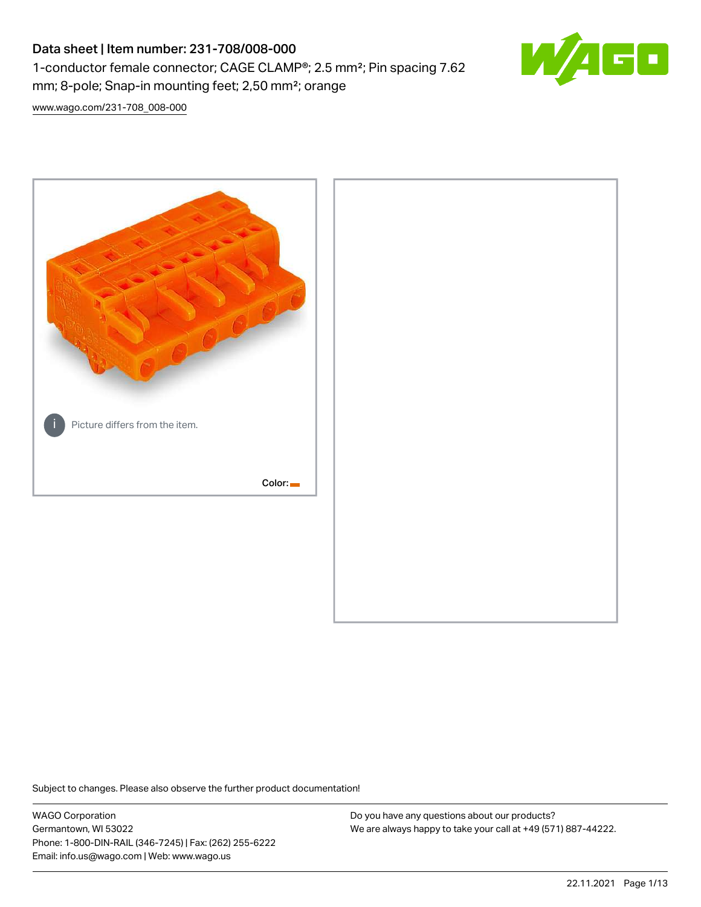# Data sheet | Item number: 231-708/008-000 1-conductor female connector; CAGE CLAMP®; 2.5 mm²; Pin spacing 7.62 mm; 8-pole; Snap-in mounting feet; 2,50 mm²; orange



[www.wago.com/231-708\\_008-000](http://www.wago.com/231-708_008-000)



Subject to changes. Please also observe the further product documentation!

WAGO Corporation Germantown, WI 53022 Phone: 1-800-DIN-RAIL (346-7245) | Fax: (262) 255-6222 Email: info.us@wago.com | Web: www.wago.us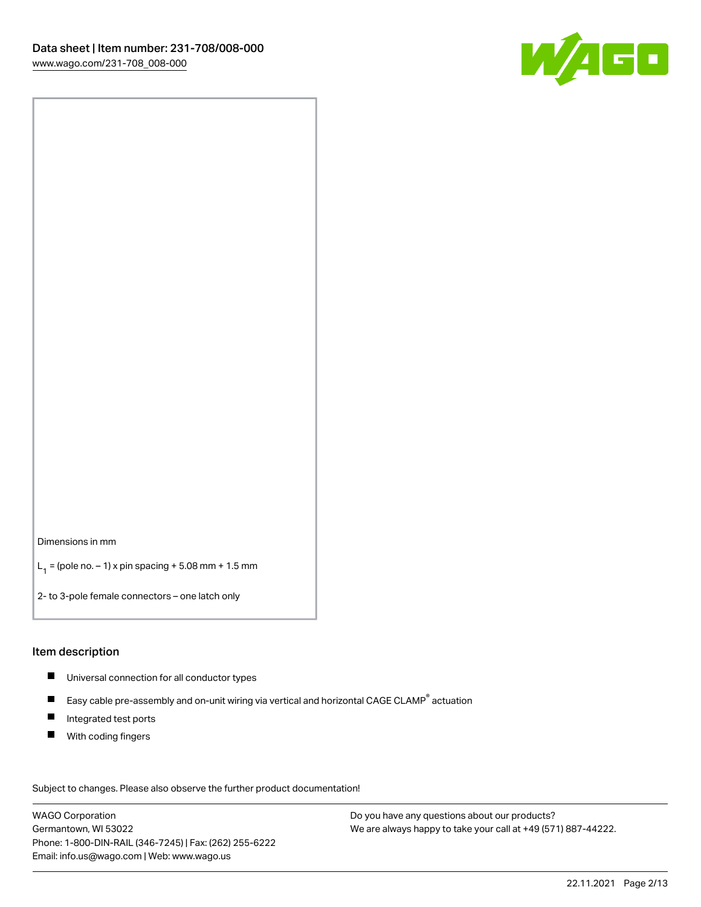

Dimensions in mm

 $L_1 =$  (pole no.  $-1$ ) x pin spacing + 5.08 mm + 1.5 mm

2- to 3-pole female connectors – one latch only

#### Item description

- Universal connection for all conductor types
- $\blacksquare$ Easy cable pre-assembly and on-unit wiring via vertical and horizontal CAGE CLAMP<sup>®</sup> actuation
- $\blacksquare$ Integrated test ports
- $\blacksquare$ With coding fingers

Subject to changes. Please also observe the further product documentation! Data

WAGO Corporation Germantown, WI 53022 Phone: 1-800-DIN-RAIL (346-7245) | Fax: (262) 255-6222 Email: info.us@wago.com | Web: www.wago.us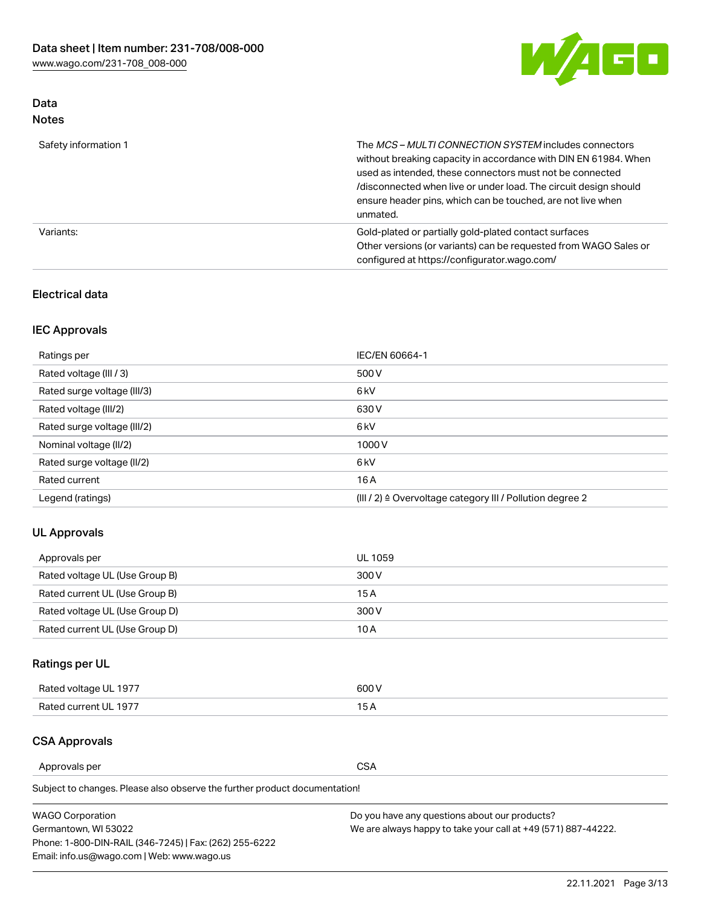

## Data Notes

| Safety information 1 | The MCS-MULTI CONNECTION SYSTEM includes connectors<br>without breaking capacity in accordance with DIN EN 61984. When<br>used as intended, these connectors must not be connected<br>/disconnected when live or under load. The circuit design should<br>ensure header pins, which can be touched, are not live when<br>unmated. |
|----------------------|-----------------------------------------------------------------------------------------------------------------------------------------------------------------------------------------------------------------------------------------------------------------------------------------------------------------------------------|
| Variants:            | Gold-plated or partially gold-plated contact surfaces<br>Other versions (or variants) can be requested from WAGO Sales or<br>configured at https://configurator.wago.com/                                                                                                                                                         |

## Electrical data

## IEC Approvals

| Ratings per                 | IEC/EN 60664-1                                                        |
|-----------------------------|-----------------------------------------------------------------------|
| Rated voltage (III / 3)     | 500 V                                                                 |
| Rated surge voltage (III/3) | 6 <sub>kV</sub>                                                       |
| Rated voltage (III/2)       | 630 V                                                                 |
| Rated surge voltage (III/2) | 6 <sub>kV</sub>                                                       |
| Nominal voltage (II/2)      | 1000V                                                                 |
| Rated surge voltage (II/2)  | 6 <sub>kV</sub>                                                       |
| Rated current               | 16A                                                                   |
| Legend (ratings)            | $(III / 2)$ $\triangle$ Overvoltage category III / Pollution degree 2 |

## UL Approvals

| Approvals per                  | UL 1059 |
|--------------------------------|---------|
| Rated voltage UL (Use Group B) | 300 V   |
| Rated current UL (Use Group B) | 15 A    |
| Rated voltage UL (Use Group D) | 300 V   |
| Rated current UL (Use Group D) | 10 A    |

## Ratings per UL

| Rated voltage UL 1977 | 300 V |
|-----------------------|-------|
| Rated current UL 1977 |       |

## CSA Approvals

Approvals per CSA

Subject to changes. Please also observe the further product documentation!

| <b>WAGO Corporation</b>                                | Do you have any questions about our products?                 |
|--------------------------------------------------------|---------------------------------------------------------------|
| Germantown, WI 53022                                   | We are always happy to take your call at +49 (571) 887-44222. |
| Phone: 1-800-DIN-RAIL (346-7245)   Fax: (262) 255-6222 |                                                               |
| Email: info.us@wago.com   Web: www.wago.us             |                                                               |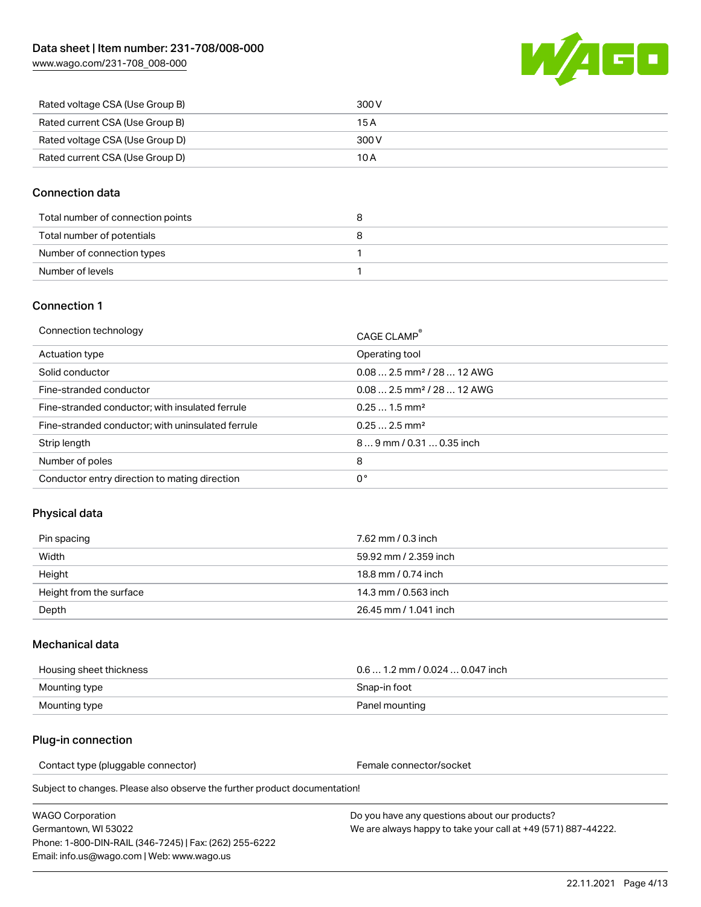

| Rated voltage CSA (Use Group B) | 300 V |
|---------------------------------|-------|
| Rated current CSA (Use Group B) | 15 A  |
| Rated voltage CSA (Use Group D) | 300 V |
| Rated current CSA (Use Group D) | 10 A  |

### Connection data

| Total number of connection points |  |
|-----------------------------------|--|
| Total number of potentials        |  |
| Number of connection types        |  |
| Number of levels                  |  |

#### Connection 1

| Connection technology                             | CAGE CLAMP <sup>®</sup>                 |
|---------------------------------------------------|-----------------------------------------|
| Actuation type                                    | Operating tool                          |
| Solid conductor                                   | $0.08$ 2.5 mm <sup>2</sup> / 28  12 AWG |
| Fine-stranded conductor                           | $0.08$ 2.5 mm <sup>2</sup> / 28  12 AWG |
| Fine-stranded conductor; with insulated ferrule   | $0.251.5$ mm <sup>2</sup>               |
| Fine-stranded conductor; with uninsulated ferrule | $0.252.5$ mm <sup>2</sup>               |
| Strip length                                      | 89 mm / 0.31  0.35 inch                 |
| Number of poles                                   | 8                                       |
| Conductor entry direction to mating direction     | 0°                                      |

## Physical data

| Pin spacing             | 7.62 mm / 0.3 inch    |
|-------------------------|-----------------------|
| Width                   | 59.92 mm / 2.359 inch |
| Height                  | 18.8 mm / 0.74 inch   |
| Height from the surface | 14.3 mm / 0.563 inch  |
| Depth                   | 26.45 mm / 1.041 inch |

#### Mechanical data

| Housing sheet thickness | $0.61.2$ mm / 0.024  0.047 inch |
|-------------------------|---------------------------------|
| Mounting type           | Snap-in foot                    |
| Mounting type           | Panel mounting                  |

#### Plug-in connection

Contact type (pluggable connector) example a set of the Female connector/socket

Subject to changes. Please also observe the further product documentation!

WAGO Corporation Germantown, WI 53022 Phone: 1-800-DIN-RAIL (346-7245) | Fax: (262) 255-6222 Email: info.us@wago.com | Web: www.wago.us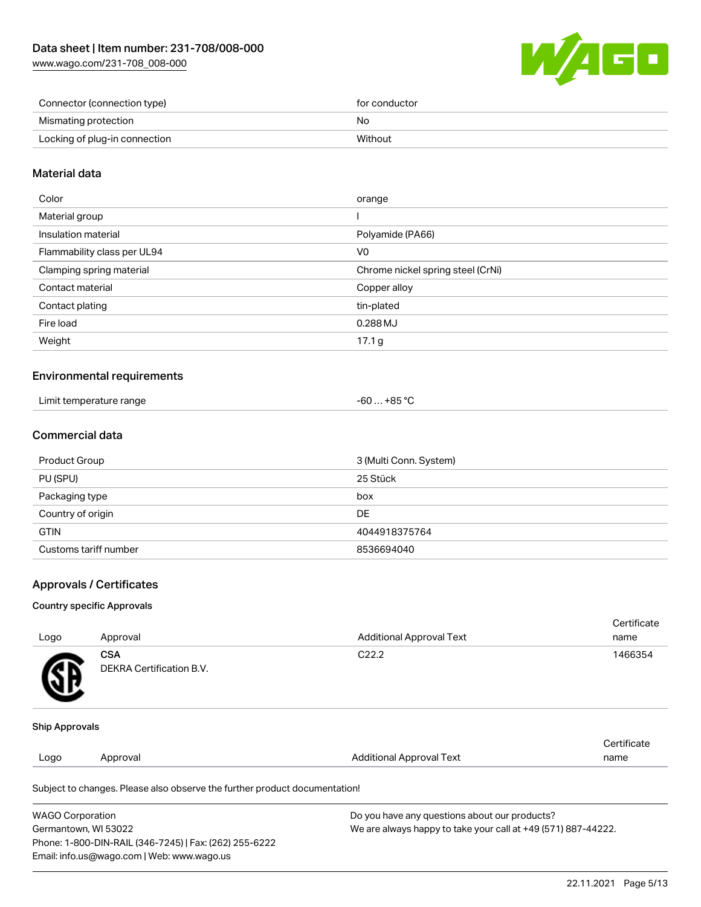

| Connector (connection type)   | for conductor |
|-------------------------------|---------------|
| Mismating protection          | No            |
| Locking of plug-in connection | Without       |

### Material data

| Color                       | orange                            |
|-----------------------------|-----------------------------------|
| Material group              |                                   |
| Insulation material         | Polyamide (PA66)                  |
| Flammability class per UL94 | V0                                |
| Clamping spring material    | Chrome nickel spring steel (CrNi) |
| Contact material            | Copper alloy                      |
| Contact plating             | tin-plated                        |
| Fire load                   | 0.288 MJ                          |
| Weight                      | 17.1 <sub>g</sub>                 |
|                             |                                   |

#### Environmental requirements

| Limit temperature range | +85 °C |
|-------------------------|--------|
| .                       | -60    |

## Commercial data

| Product Group         | 3 (Multi Conn. System) |
|-----------------------|------------------------|
| PU (SPU)              | 25 Stück               |
| Packaging type        | box                    |
| Country of origin     | DE                     |
| <b>GTIN</b>           | 4044918375764          |
| Customs tariff number | 8536694040             |

#### Approvals / Certificates

#### Country specific Approvals

| Logo                  | Approval                               | <b>Additional Approval Text</b> | Certificate<br>name |
|-----------------------|----------------------------------------|---------------------------------|---------------------|
| 逍                     | <b>CSA</b><br>DEKRA Certification B.V. | C <sub>22.2</sub>               | 1466354             |
| <b>Ship Approvals</b> |                                        |                                 |                     |
| Logo                  | Approval                               | <b>Additional Approval Text</b> | Certificate<br>name |

Subject to changes. Please also observe the further product documentation!

| <b>WAGO Corporation</b>                                | Do you have any questions about our products?                 |
|--------------------------------------------------------|---------------------------------------------------------------|
| Germantown, WI 53022                                   | We are always happy to take your call at +49 (571) 887-44222. |
| Phone: 1-800-DIN-RAIL (346-7245)   Fax: (262) 255-6222 |                                                               |
| Email: info.us@wago.com   Web: www.wago.us             |                                                               |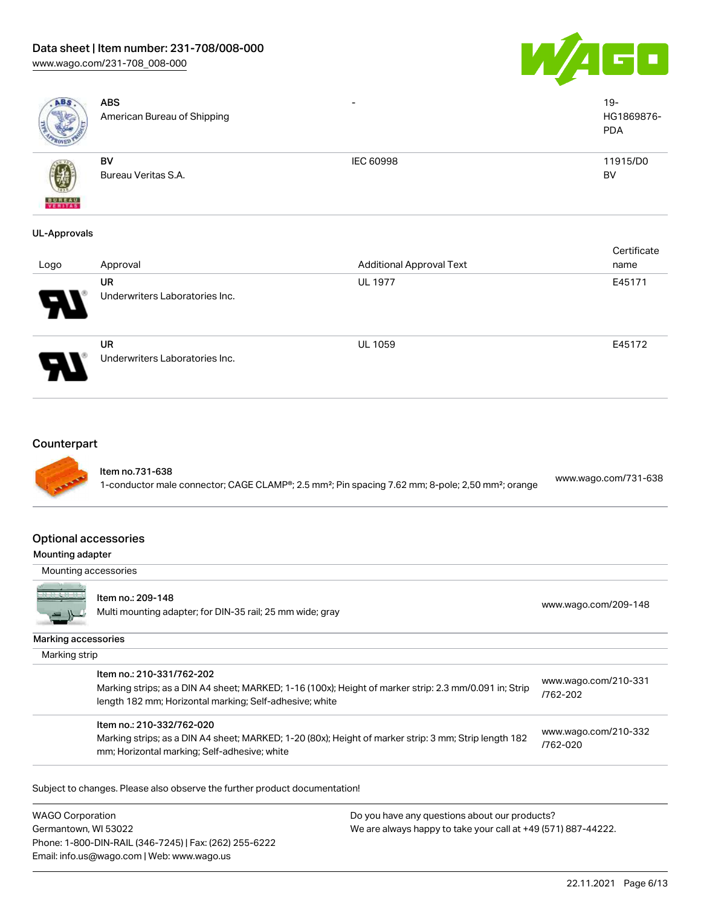# Data sheet | Item number: 231-708/008-000

[www.wago.com/231-708\\_008-000](http://www.wago.com/231-708_008-000)





| ABS                      | <b>ABS</b><br>American Bureau of Shipping | $\overline{\phantom{0}}$        | $19 -$<br>HG1869876-<br><b>PDA</b> |
|--------------------------|-------------------------------------------|---------------------------------|------------------------------------|
| <b>BUREAU</b><br>VERITAS | BV<br>Bureau Veritas S.A.                 | IEC 60998                       | 11915/D0<br>BV                     |
| <b>UL-Approvals</b>      |                                           |                                 | Certificate                        |
| Logo                     | Approval                                  | <b>Additional Approval Text</b> | name                               |
|                          | UR<br>Underwriters Laboratories Inc.      | <b>UL 1977</b>                  | E45171                             |
|                          | UR<br>Underwriters Laboratories Inc.      | UL 1059                         | E45172                             |
| Counterpart              |                                           |                                 |                                    |

Item no.731-638

1-conductor male connector; CAGE CLAMP®; 2.5 mm²; Pin spacing 7.62 mm; 8-pole; 2,50 mm²; orange [www.wago.com/731-638](https://www.wago.com/731-638)

#### Optional accessories

#### Mounting adapter

Mounting accessories



#### Item no.: 209-148

nem no... 209-146<br>Multi mounting adapter; for DIN-35 rail; 25 mm wide; gray [www.wago.com/209-148](http://www.wago.com/209-148)

Marking accessories

| Item no.: 210-331/762-202<br>Marking strips; as a DIN A4 sheet; MARKED; 1-16 (100x); Height of marker strip: 2.3 mm/0.091 in; Strip<br>length 182 mm; Horizontal marking; Self-adhesive; white | www.wago.com/210-331<br>/762-202 |
|------------------------------------------------------------------------------------------------------------------------------------------------------------------------------------------------|----------------------------------|
| Item no.: 210-332/762-020<br>Marking strips; as a DIN A4 sheet; MARKED; 1-20 (80x); Height of marker strip: 3 mm; Strip length 182<br>mm; Horizontal marking; Self-adhesive; white             | www.wago.com/210-332<br>/762-020 |

Subject to changes. Please also observe the further product documentation!

WAGO Corporation Germantown, WI 53022 Phone: 1-800-DIN-RAIL (346-7245) | Fax: (262) 255-6222 Email: info.us@wago.com | Web: www.wago.us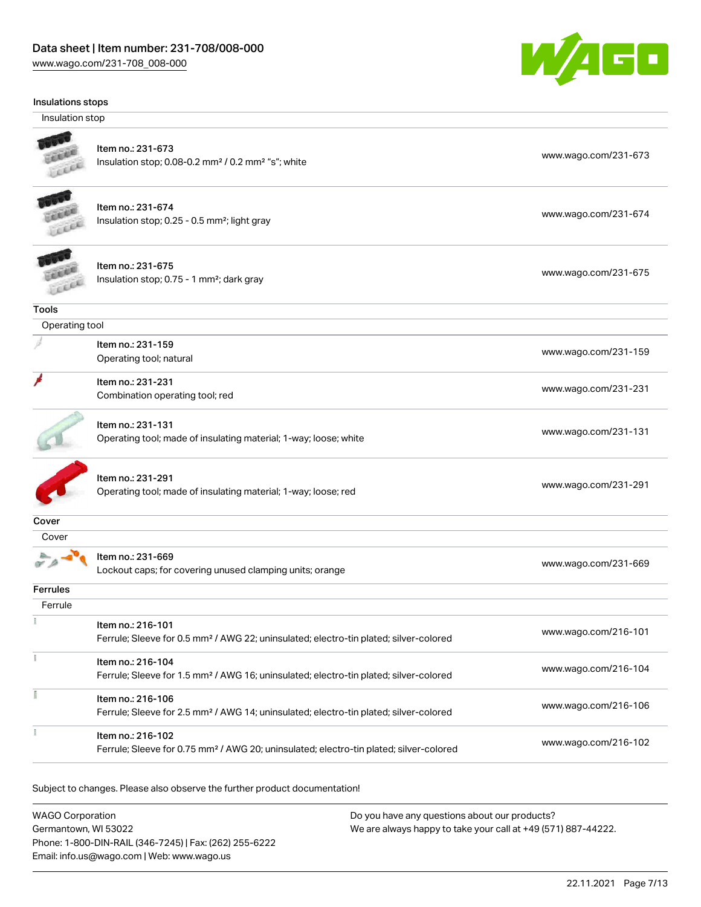

Insulation stop



## Item no.: 231-673

Insulation stop; 0.08-0.2 mm<sup>2</sup> / 0.2 mm<sup>2</sup> "s"; white [www.wago.com/231-673](http://www.wago.com/231-673) www.wago.com/231-673



## Item no.: 231-674

Insulation stop; 0.25 - 0.5 mm²; light gray [www.wago.com/231-674](http://www.wago.com/231-674)



| Item no.: 231-675                                     |                      |
|-------------------------------------------------------|----------------------|
| Insulation stop; 0.75 - 1 mm <sup>2</sup> ; dark gray | www.wago.com/231-675 |

**Tools** 

| Operating tool                  |                                                                                                                  |  |
|---------------------------------|------------------------------------------------------------------------------------------------------------------|--|
| Item no.: 231-159               | www.wago.com/231-159                                                                                             |  |
|                                 |                                                                                                                  |  |
| Item no.: 231-231               |                                                                                                                  |  |
| Combination operating tool; red | www.wago.com/231-231                                                                                             |  |
|                                 |                                                                                                                  |  |
|                                 | www.wago.com/231-131                                                                                             |  |
|                                 | Operating tool; natural<br>Item no.: 231-131<br>Operating tool; made of insulating material; 1-way; loose; white |  |



Item no.: 231-291 Operating tool; made of insulating material; 1-way; loose; red [www.wago.com/231-291](http://www.wago.com/231-291)

**Cover** 

À Item no.: 231-669

Lockout caps; for covering unused clamping units; orange [www.wago.com/231-669](http://www.wago.com/231-669)

## Ferrules

| Ferrule |                                                                                                                         |                      |
|---------|-------------------------------------------------------------------------------------------------------------------------|----------------------|
|         | Item no.: 216-101<br>Ferrule; Sleeve for 0.5 mm <sup>2</sup> / AWG 22; uninsulated; electro-tin plated; silver-colored  | www.wago.com/216-101 |
|         | Item no.: 216-104<br>Ferrule; Sleeve for 1.5 mm <sup>2</sup> / AWG 16; uninsulated; electro-tin plated; silver-colored  | www.wago.com/216-104 |
|         | Item no.: 216-106<br>Ferrule; Sleeve for 2.5 mm <sup>2</sup> / AWG 14; uninsulated; electro-tin plated; silver-colored  | www.wago.com/216-106 |
|         | Item no.: 216-102<br>Ferrule; Sleeve for 0.75 mm <sup>2</sup> / AWG 20; uninsulated; electro-tin plated; silver-colored | www.wago.com/216-102 |

Subject to changes. Please also observe the further product documentation!

| <b>WAGO Corporation</b>                                | Do you have any questions about our products?                 |
|--------------------------------------------------------|---------------------------------------------------------------|
| Germantown, WI 53022                                   | We are always happy to take your call at +49 (571) 887-44222. |
| Phone: 1-800-DIN-RAIL (346-7245)   Fax: (262) 255-6222 |                                                               |
| Email: info.us@wago.com   Web: www.wago.us             |                                                               |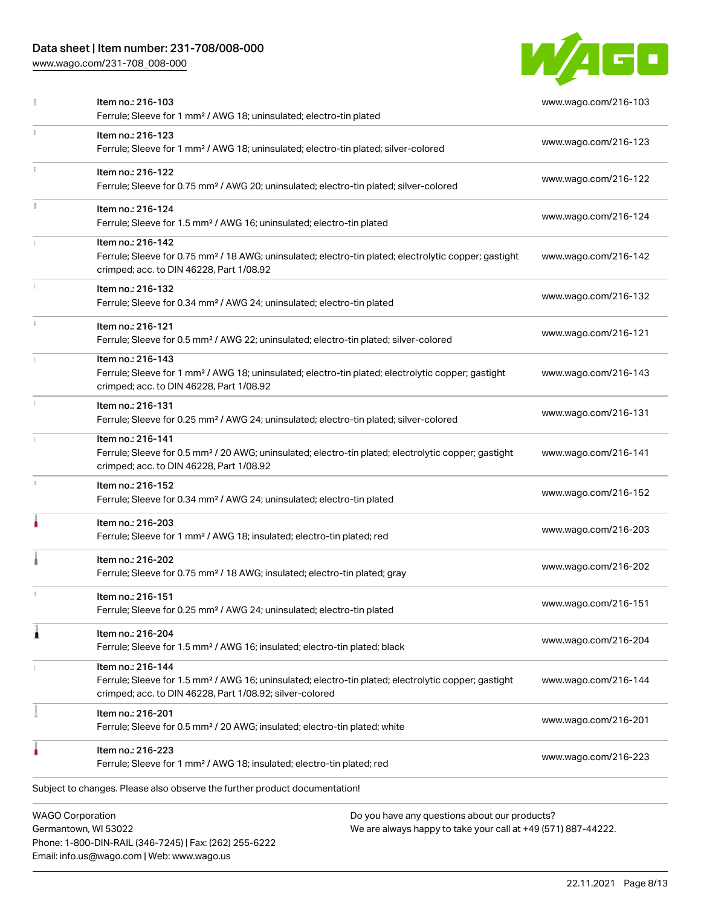## Data sheet | Item number: 231-708/008-000

Phone: 1-800-DIN-RAIL (346-7245) | Fax: (262) 255-6222

Email: info.us@wago.com | Web: www.wago.us

[www.wago.com/231-708\\_008-000](http://www.wago.com/231-708_008-000)



|    | Item no.: 216-103<br>Ferrule; Sleeve for 1 mm <sup>2</sup> / AWG 18; uninsulated; electro-tin plated                                                                                              |                                                                                                                | www.wago.com/216-103 |
|----|---------------------------------------------------------------------------------------------------------------------------------------------------------------------------------------------------|----------------------------------------------------------------------------------------------------------------|----------------------|
| ĩ. | Item no.: 216-123<br>Ferrule; Sleeve for 1 mm <sup>2</sup> / AWG 18; uninsulated; electro-tin plated; silver-colored                                                                              |                                                                                                                | www.wago.com/216-123 |
|    | Item no.: 216-122<br>Ferrule; Sleeve for 0.75 mm <sup>2</sup> / AWG 20; uninsulated; electro-tin plated; silver-colored                                                                           |                                                                                                                | www.wago.com/216-122 |
| I. | Item no.: 216-124<br>Ferrule; Sleeve for 1.5 mm <sup>2</sup> / AWG 16; uninsulated; electro-tin plated                                                                                            |                                                                                                                | www.wago.com/216-124 |
|    | Item no.: 216-142<br>Ferrule; Sleeve for 0.75 mm <sup>2</sup> / 18 AWG; uninsulated; electro-tin plated; electrolytic copper; gastight<br>crimped; acc. to DIN 46228, Part 1/08.92                |                                                                                                                | www.wago.com/216-142 |
|    | Item no.: 216-132<br>Ferrule; Sleeve for 0.34 mm <sup>2</sup> / AWG 24; uninsulated; electro-tin plated                                                                                           |                                                                                                                | www.wago.com/216-132 |
| ī. | Item no.: 216-121<br>Ferrule; Sleeve for 0.5 mm <sup>2</sup> / AWG 22; uninsulated; electro-tin plated; silver-colored                                                                            |                                                                                                                | www.wago.com/216-121 |
|    | Item no.: 216-143<br>Ferrule; Sleeve for 1 mm <sup>2</sup> / AWG 18; uninsulated; electro-tin plated; electrolytic copper; gastight<br>crimped; acc. to DIN 46228, Part 1/08.92                   |                                                                                                                | www.wago.com/216-143 |
|    | Item no.: 216-131<br>Ferrule; Sleeve for 0.25 mm <sup>2</sup> / AWG 24; uninsulated; electro-tin plated; silver-colored                                                                           |                                                                                                                | www.wago.com/216-131 |
|    | Item no.: 216-141<br>Ferrule; Sleeve for 0.5 mm <sup>2</sup> / 20 AWG; uninsulated; electro-tin plated; electrolytic copper; gastight<br>crimped; acc. to DIN 46228, Part 1/08.92                 |                                                                                                                | www.wago.com/216-141 |
|    | Item no.: 216-152<br>Ferrule; Sleeve for 0.34 mm <sup>2</sup> / AWG 24; uninsulated; electro-tin plated                                                                                           |                                                                                                                | www.wago.com/216-152 |
|    | Item no.: 216-203<br>Ferrule; Sleeve for 1 mm <sup>2</sup> / AWG 18; insulated; electro-tin plated; red                                                                                           |                                                                                                                | www.wago.com/216-203 |
|    | Item no.: 216-202<br>Ferrule; Sleeve for 0.75 mm <sup>2</sup> / 18 AWG; insulated; electro-tin plated; gray                                                                                       |                                                                                                                | www.wago.com/216-202 |
|    | Item no.: 216-151<br>Ferrule; Sleeve for 0.25 mm <sup>2</sup> / AWG 24; uninsulated; electro-tin plated                                                                                           |                                                                                                                | www.wago.com/216-151 |
| 1  | Item no.: 216-204<br>Ferrule; Sleeve for 1.5 mm <sup>2</sup> / AWG 16; insulated; electro-tin plated; black                                                                                       |                                                                                                                | www.wago.com/216-204 |
|    | Item no.: 216-144<br>Ferrule; Sleeve for 1.5 mm <sup>2</sup> / AWG 16; uninsulated; electro-tin plated; electrolytic copper; gastight<br>crimped; acc. to DIN 46228, Part 1/08.92; silver-colored |                                                                                                                | www.wago.com/216-144 |
|    | Item no.: 216-201<br>Ferrule; Sleeve for 0.5 mm <sup>2</sup> / 20 AWG; insulated; electro-tin plated; white                                                                                       |                                                                                                                | www.wago.com/216-201 |
|    | Item no.: 216-223<br>Ferrule; Sleeve for 1 mm <sup>2</sup> / AWG 18; insulated; electro-tin plated; red                                                                                           |                                                                                                                | www.wago.com/216-223 |
|    | Subject to changes. Please also observe the further product documentation!                                                                                                                        |                                                                                                                |                      |
|    | <b>WAGO Corporation</b><br>Germantown, WI 53022                                                                                                                                                   | Do you have any questions about our products?<br>We are always happy to take your call at +49 (571) 887-44222. |                      |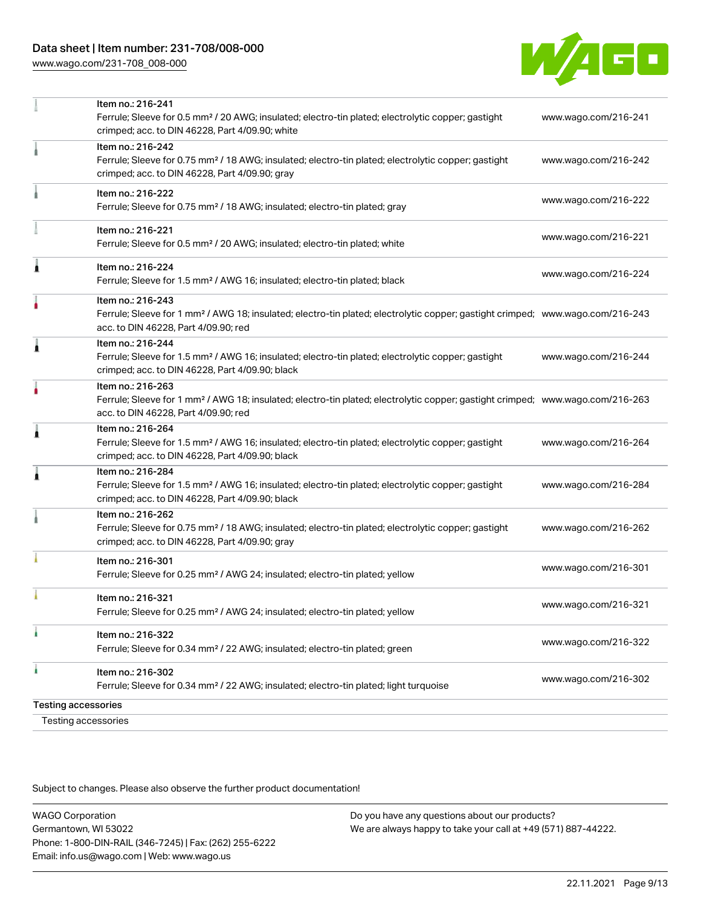

|    | Item no.: 216-241                                                                                                                                                                  |                      |
|----|------------------------------------------------------------------------------------------------------------------------------------------------------------------------------------|----------------------|
|    | Ferrule; Sleeve for 0.5 mm <sup>2</sup> / 20 AWG; insulated; electro-tin plated; electrolytic copper; gastight<br>crimped; acc. to DIN 46228, Part 4/09.90; white                  | www.wago.com/216-241 |
|    | Item no.: 216-242                                                                                                                                                                  |                      |
|    | Ferrule; Sleeve for 0.75 mm <sup>2</sup> / 18 AWG; insulated; electro-tin plated; electrolytic copper; gastight<br>crimped; acc. to DIN 46228, Part 4/09.90; gray                  | www.wago.com/216-242 |
|    | Item no.: 216-222                                                                                                                                                                  |                      |
|    | Ferrule; Sleeve for 0.75 mm <sup>2</sup> / 18 AWG; insulated; electro-tin plated; gray                                                                                             | www.wago.com/216-222 |
|    | Item no.: 216-221                                                                                                                                                                  | www.wago.com/216-221 |
|    | Ferrule; Sleeve for 0.5 mm <sup>2</sup> / 20 AWG; insulated; electro-tin plated; white                                                                                             |                      |
| Â  | Item no.: 216-224                                                                                                                                                                  |                      |
|    | Ferrule; Sleeve for 1.5 mm <sup>2</sup> / AWG 16; insulated; electro-tin plated; black                                                                                             | www.wago.com/216-224 |
|    | Item no.: 216-243                                                                                                                                                                  |                      |
|    | Ferrule; Sleeve for 1 mm <sup>2</sup> / AWG 18; insulated; electro-tin plated; electrolytic copper; gastight crimped; www.wago.com/216-243<br>acc. to DIN 46228, Part 4/09.90; red |                      |
| Â  | Item no.: 216-244                                                                                                                                                                  |                      |
|    | Ferrule; Sleeve for 1.5 mm <sup>2</sup> / AWG 16; insulated; electro-tin plated; electrolytic copper; gastight<br>crimped; acc. to DIN 46228, Part 4/09.90; black                  | www.wago.com/216-244 |
|    | Item no.: 216-263                                                                                                                                                                  |                      |
|    | Ferrule; Sleeve for 1 mm <sup>2</sup> / AWG 18; insulated; electro-tin plated; electrolytic copper; gastight crimped; www.wago.com/216-263<br>acc. to DIN 46228, Part 4/09.90; red |                      |
| Â  | Item no.: 216-264                                                                                                                                                                  |                      |
|    | Ferrule; Sleeve for 1.5 mm <sup>2</sup> / AWG 16; insulated; electro-tin plated; electrolytic copper; gastight<br>crimped; acc. to DIN 46228, Part 4/09.90; black                  | www.wago.com/216-264 |
| ٨  | Item no.: 216-284                                                                                                                                                                  |                      |
|    | Ferrule; Sleeve for 1.5 mm <sup>2</sup> / AWG 16; insulated; electro-tin plated; electrolytic copper; gastight<br>crimped; acc. to DIN 46228, Part 4/09.90; black                  | www.wago.com/216-284 |
|    | Item no.: 216-262                                                                                                                                                                  |                      |
|    | Ferrule; Sleeve for 0.75 mm <sup>2</sup> / 18 AWG; insulated; electro-tin plated; electrolytic copper; gastight<br>crimped; acc. to DIN 46228, Part 4/09.90; gray                  | www.wago.com/216-262 |
|    |                                                                                                                                                                                    |                      |
|    | Item no.: 216-301<br>Ferrule; Sleeve for 0.25 mm <sup>2</sup> / AWG 24; insulated; electro-tin plated; yellow                                                                      | www.wago.com/216-301 |
|    | Item no.: 216-321                                                                                                                                                                  |                      |
|    | Ferrule; Sleeve for 0.25 mm <sup>2</sup> / AWG 24; insulated; electro-tin plated; yellow                                                                                           | www.wago.com/216-321 |
|    | Item no.: 216-322                                                                                                                                                                  |                      |
|    | Ferrule; Sleeve for 0.34 mm <sup>2</sup> / 22 AWG; insulated; electro-tin plated; green                                                                                            | www.wago.com/216-322 |
| à. | Item no.: 216-302                                                                                                                                                                  | www.wago.com/216-302 |
|    | Ferrule; Sleeve for 0.34 mm <sup>2</sup> / 22 AWG; insulated; electro-tin plated; light turquoise                                                                                  |                      |
|    | <b>Testing accessories</b>                                                                                                                                                         |                      |
|    | <b>Testing accessories</b>                                                                                                                                                         |                      |

Subject to changes. Please also observe the further product documentation!

WAGO Corporation Germantown, WI 53022 Phone: 1-800-DIN-RAIL (346-7245) | Fax: (262) 255-6222 Email: info.us@wago.com | Web: www.wago.us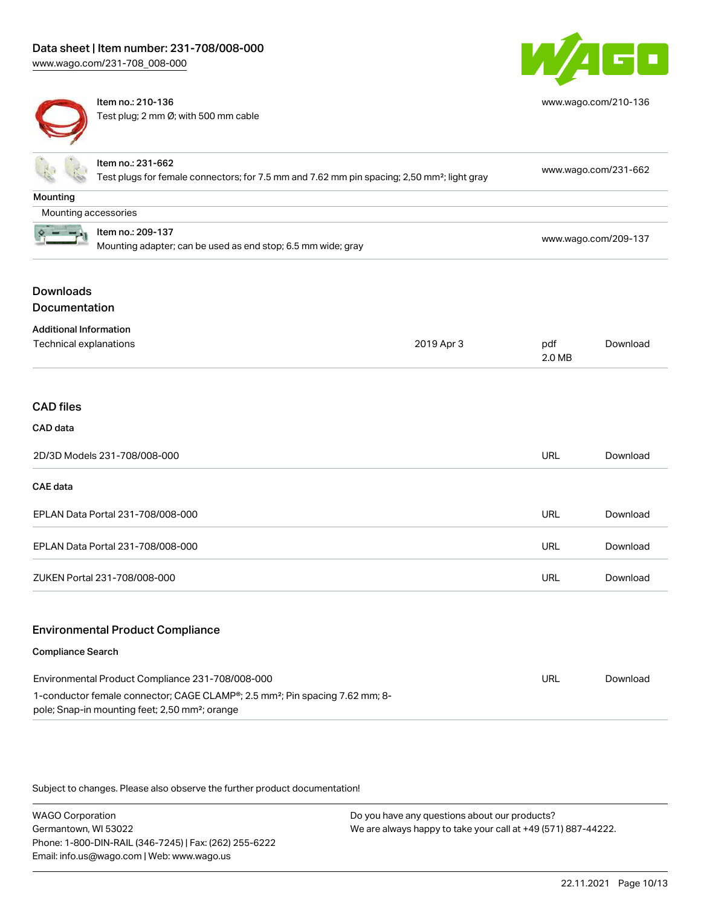

[www.wago.com/210-136](http://www.wago.com/210-136)



**Mounting** 

Item no.: 210-136 Test plug; 2 mm Ø; with 500 mm cable

| Ex.                  | Item no.: 231-662<br>Test plugs for female connectors; for 7.5 mm and 7.62 mm pin spacing; 2,50 mm <sup>2</sup> ; light gray | www.wago.com/231-662 |
|----------------------|------------------------------------------------------------------------------------------------------------------------------|----------------------|
| lounting             |                                                                                                                              |                      |
| Mounting accessories |                                                                                                                              |                      |
| $\frac{1}{2}$        | Item no.: 209-137<br>Mounting adapter; can be used as end stop; 6.5 mm wide; gray                                            | www.wago.com/209-137 |

## Downloads Documentation

 $2 - -1$ 

| <b>Additional Information</b>     |            |               |          |
|-----------------------------------|------------|---------------|----------|
| Technical explanations            | 2019 Apr 3 | pdf<br>2.0 MB | Download |
| <b>CAD files</b>                  |            |               |          |
| CAD data                          |            |               |          |
| 2D/3D Models 231-708/008-000      |            | <b>URL</b>    | Download |
| <b>CAE</b> data                   |            |               |          |
| EPLAN Data Portal 231-708/008-000 |            | <b>URL</b>    | Download |
| EPLAN Data Portal 231-708/008-000 |            | <b>URL</b>    | Download |
| ZUKEN Portal 231-708/008-000      |            | <b>URL</b>    | Download |
|                                   |            |               |          |

## Environmental Product Compliance

#### Compliance Search

| Environmental Product Compliance 231-708/008-000                                                                                                                    | URL | Download |
|---------------------------------------------------------------------------------------------------------------------------------------------------------------------|-----|----------|
| 1-conductor female connector; CAGE CLAMP <sup>®</sup> ; 2.5 mm <sup>2</sup> ; Pin spacing 7.62 mm; 8-<br>pole; Snap-in mounting feet; 2,50 mm <sup>2</sup> ; orange |     |          |
|                                                                                                                                                                     |     |          |

Subject to changes. Please also observe the further product documentation!

WAGO Corporation Germantown, WI 53022 Phone: 1-800-DIN-RAIL (346-7245) | Fax: (262) 255-6222 Email: info.us@wago.com | Web: www.wago.us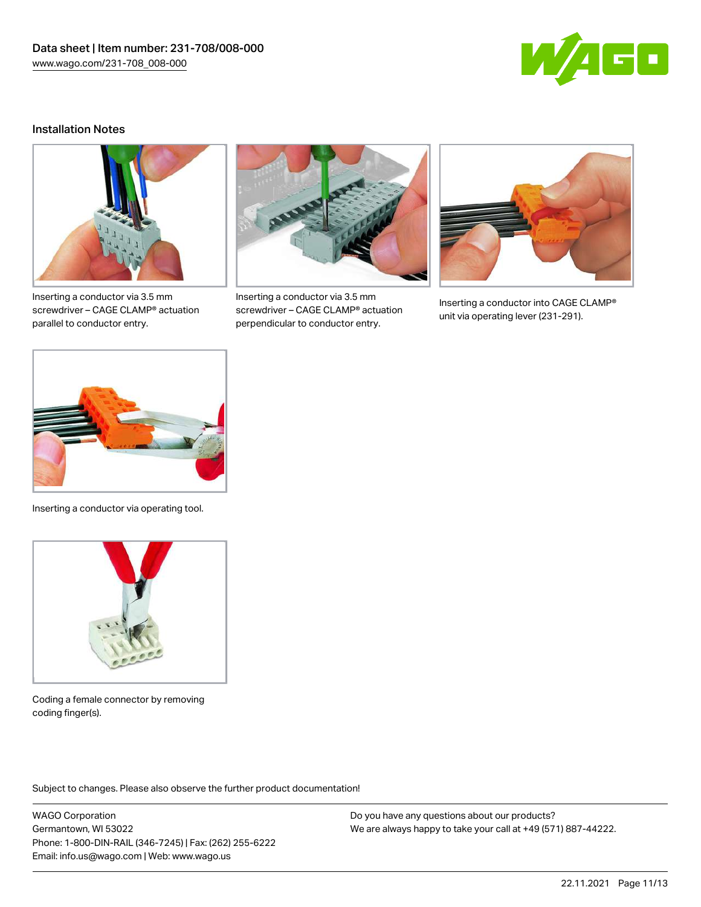

#### Installation Notes



Inserting a conductor via 3.5 mm screwdriver – CAGE CLAMP® actuation parallel to conductor entry.



Inserting a conductor via 3.5 mm screwdriver – CAGE CLAMP® actuation perpendicular to conductor entry.



Inserting a conductor into CAGE CLAMP® unit via operating lever (231-291).



Inserting a conductor via operating tool.



Coding a female connector by removing coding finger(s).

Subject to changes. Please also observe the further product documentation!

WAGO Corporation Germantown, WI 53022 Phone: 1-800-DIN-RAIL (346-7245) | Fax: (262) 255-6222 Email: info.us@wago.com | Web: www.wago.us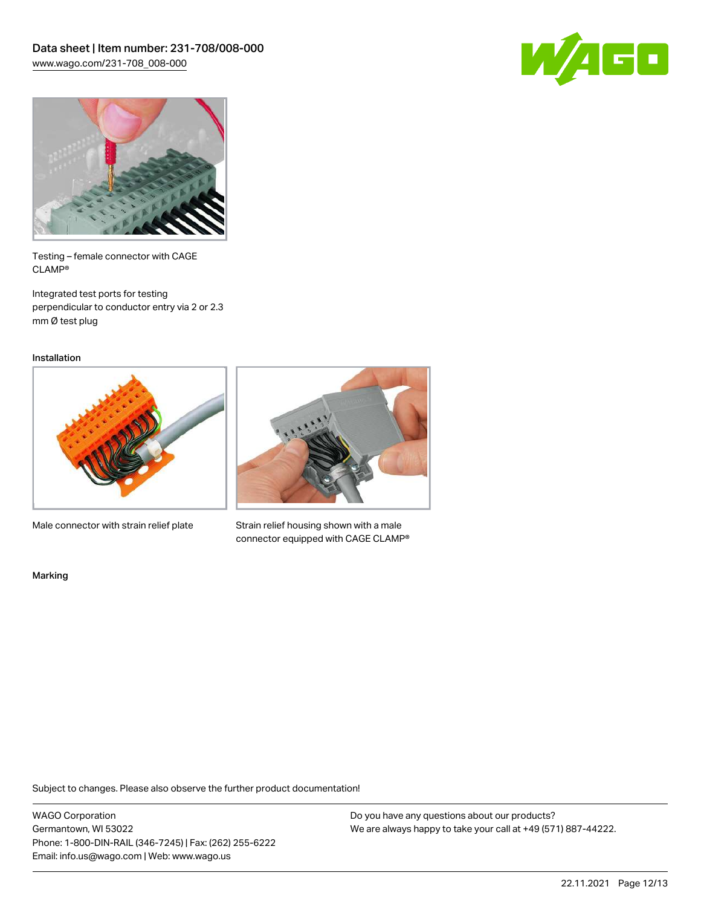



Testing – female connector with CAGE CLAMP®

Integrated test ports for testing perpendicular to conductor entry via 2 or 2.3 mm Ø test plug

Installation



Male connector with strain relief plate



Strain relief housing shown with a male connector equipped with CAGE CLAMP®

Marking

Subject to changes. Please also observe the further product documentation!

WAGO Corporation Germantown, WI 53022 Phone: 1-800-DIN-RAIL (346-7245) | Fax: (262) 255-6222 Email: info.us@wago.com | Web: www.wago.us